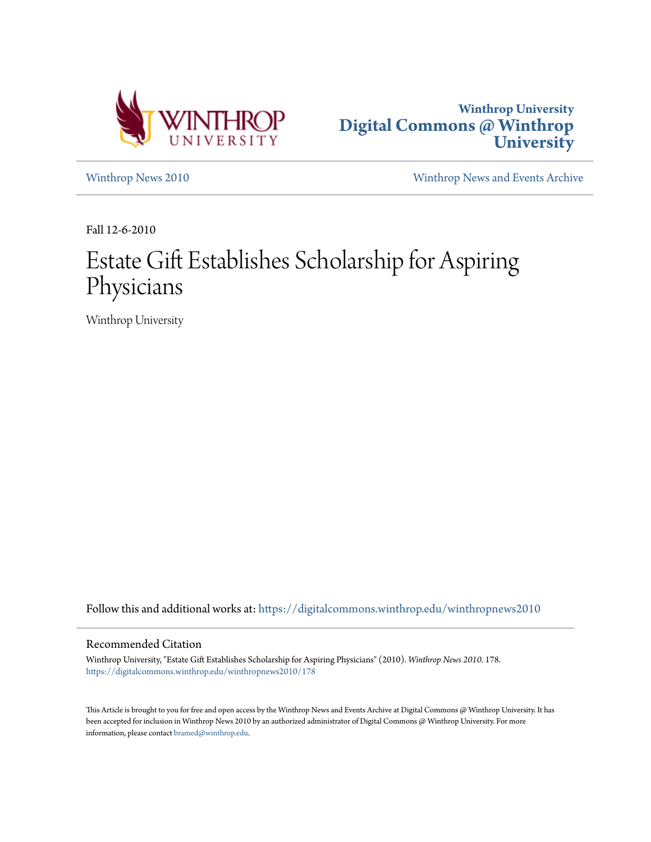



[Winthrop News 2010](https://digitalcommons.winthrop.edu/winthropnews2010?utm_source=digitalcommons.winthrop.edu%2Fwinthropnews2010%2F178&utm_medium=PDF&utm_campaign=PDFCoverPages) [Winthrop News and Events Archive](https://digitalcommons.winthrop.edu/winthropnewsarchives?utm_source=digitalcommons.winthrop.edu%2Fwinthropnews2010%2F178&utm_medium=PDF&utm_campaign=PDFCoverPages)

Fall 12-6-2010

## Estate Gift Establishes Scholarship for Aspiring Physicians

Winthrop University

Follow this and additional works at: [https://digitalcommons.winthrop.edu/winthropnews2010](https://digitalcommons.winthrop.edu/winthropnews2010?utm_source=digitalcommons.winthrop.edu%2Fwinthropnews2010%2F178&utm_medium=PDF&utm_campaign=PDFCoverPages)

## Recommended Citation

Winthrop University, "Estate Gift Establishes Scholarship for Aspiring Physicians" (2010). *Winthrop News 2010*. 178. [https://digitalcommons.winthrop.edu/winthropnews2010/178](https://digitalcommons.winthrop.edu/winthropnews2010/178?utm_source=digitalcommons.winthrop.edu%2Fwinthropnews2010%2F178&utm_medium=PDF&utm_campaign=PDFCoverPages)

This Article is brought to you for free and open access by the Winthrop News and Events Archive at Digital Commons @ Winthrop University. It has been accepted for inclusion in Winthrop News 2010 by an authorized administrator of Digital Commons @ Winthrop University. For more information, please contact [bramed@winthrop.edu](mailto:bramed@winthrop.edu).